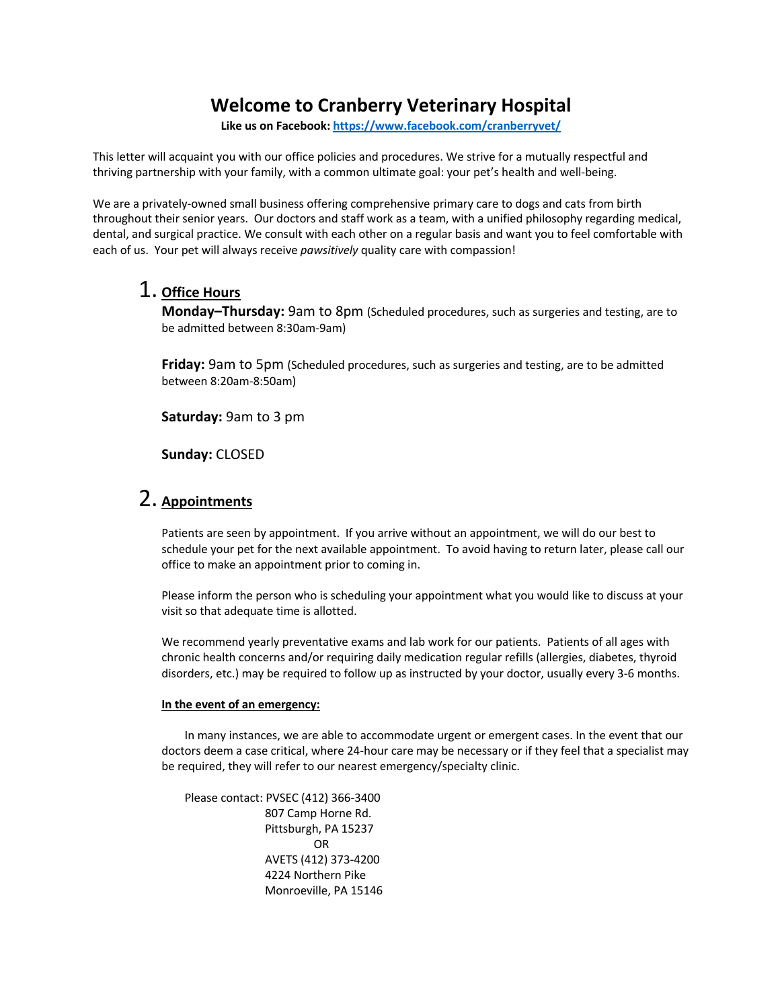## **Welcome to Cranberry Veterinary Hospital**

**Like us on Facebook: https://www.facebook.com/cranberryvet/**

This letter will acquaint you with our office policies and procedures. We strive for a mutually respectful and thriving partnership with your family, with a common ultimate goal: your pet's health and well-being.

We are a privately-owned small business offering comprehensive primary care to dogs and cats from birth throughout their senior years. Our doctors and staff work as a team, with a unified philosophy regarding medical, dental, and surgical practice. We consult with each other on a regular basis and want you to feel comfortable with each of us. Your pet will always receive *pawsitively* quality care with compassion!

#### 1. **Office Hours**

**Monday–Thursday:** 9am to 8pm (Scheduled procedures, such as surgeries and testing, are to be admitted between 8:30am-9am)

**Friday:** 9am to 5pm (Scheduled procedures, such as surgeries and testing, are to be admitted between 8:20am-8:50am)

**Saturday:** 9am to 3 pm

**Sunday:** CLOSED

#### 2. **Appointments**

Patients are seen by appointment. If you arrive without an appointment, we will do our best to schedule your pet for the next available appointment. To avoid having to return later, please call our office to make an appointment prior to coming in.

Please inform the person who is scheduling your appointment what you would like to discuss at your visit so that adequate time is allotted.

We recommend yearly preventative exams and lab work for our patients. Patients of all ages with chronic health concerns and/or requiring daily medication regular refills (allergies, diabetes, thyroid disorders, etc.) may be required to follow up as instructed by your doctor, usually every 3-6 months.

#### **In the event of an emergency:**

In many instances, we are able to accommodate urgent or emergent cases. In the event that our doctors deem a case critical, where 24-hour care may be necessary or if they feel that a specialist may be required, they will refer to our nearest emergency/specialty clinic.

Please contact: PVSEC (412) 366-3400 807 Camp Horne Rd. Pittsburgh, PA 15237 OR AVETS (412) 373-4200 4224 Northern Pike Monroeville, PA 15146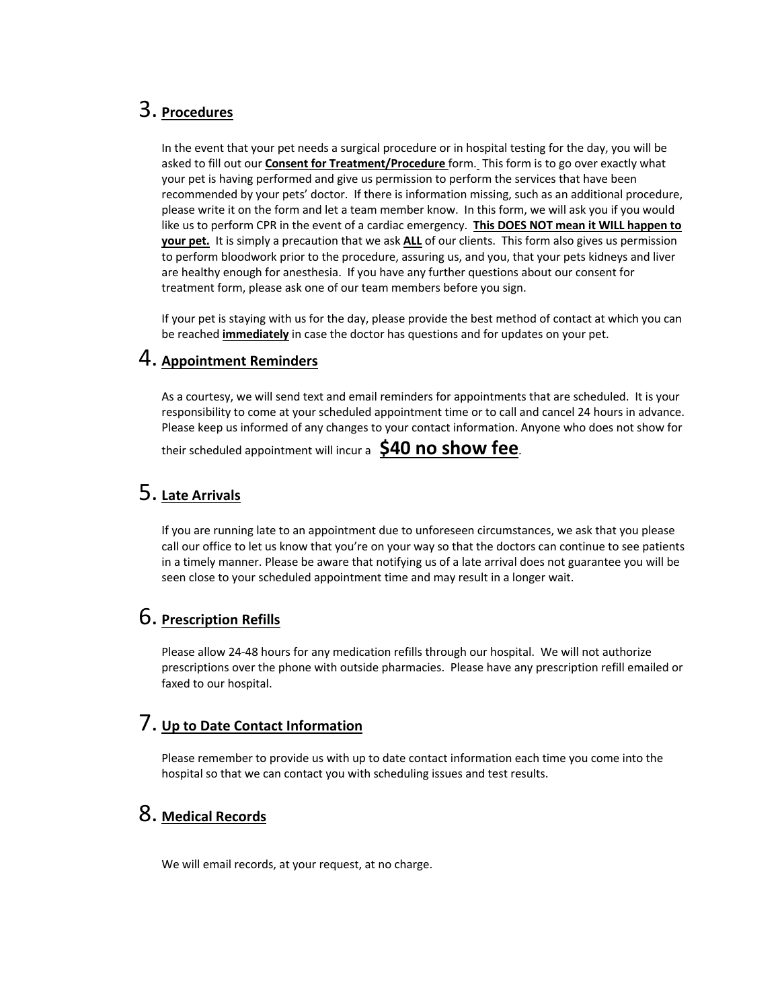## 3. **Procedures**

In the event that your pet needs a surgical procedure or in hospital testing for the day, you will be asked to fill out our **Consent for Treatment/Procedure** form. This form is to go over exactly what your pet is having performed and give us permission to perform the services that have been recommended by your pets' doctor. If there is information missing, such as an additional procedure, please write it on the form and let a team member know. In this form, we will ask you if you would like us to perform CPR in the event of a cardiac emergency. **This DOES NOT mean it WILL happen to your pet.** It is simply a precaution that we ask **ALL** of our clients. This form also gives us permission to perform bloodwork prior to the procedure, assuring us, and you, that your pets kidneys and liver are healthy enough for anesthesia. If you have any further questions about our consent for treatment form, please ask one of our team members before you sign.

If your pet is staying with us for the day, please provide the best method of contact at which you can be reached **immediately** in case the doctor has questions and for updates on your pet.

#### 4. **Appointment Reminders**

As a courtesy, we will send text and email reminders for appointments that are scheduled. It is your responsibility to come at your scheduled appointment time or to call and cancel 24 hours in advance. Please keep us informed of any changes to your contact information. Anyone who does not show for

their scheduled appointment will incur a **\$40 no show fee**.

### 5. **Late Arrivals**

If you are running late to an appointment due to unforeseen circumstances, we ask that you please call our office to let us know that you're on your way so that the doctors can continue to see patients in a timely manner. Please be aware that notifying us of a late arrival does not guarantee you will be seen close to your scheduled appointment time and may result in a longer wait.

### 6. **Prescription Refills**

Please allow 24-48 hours for any medication refills through our hospital. We will not authorize prescriptions over the phone with outside pharmacies. Please have any prescription refill emailed or faxed to our hospital.

#### 7. **Up to Date Contact Information**

Please remember to provide us with up to date contact information each time you come into the hospital so that we can contact you with scheduling issues and test results.

## 8. **Medical Records**

We will email records, at your request, at no charge.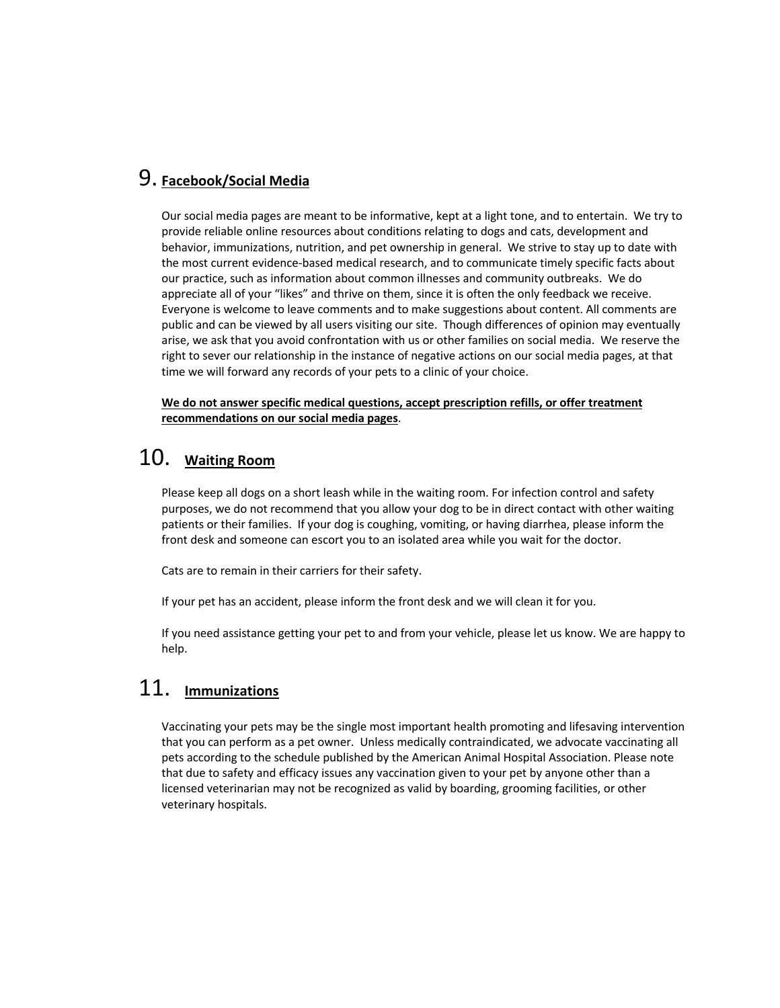## 9. **Facebook/Social Media**

Our social media pages are meant to be informative, kept at a light tone, and to entertain. We try to provide reliable online resources about conditions relating to dogs and cats, development and behavior, immunizations, nutrition, and pet ownership in general. We strive to stay up to date with the most current evidence-based medical research, and to communicate timely specific facts about our practice, such as information about common illnesses and community outbreaks. We do appreciate all of your "likes" and thrive on them, since it is often the only feedback we receive. Everyone is welcome to leave comments and to make suggestions about content. All comments are public and can be viewed by all users visiting our site. Though differences of opinion may eventually arise, we ask that you avoid confrontation with us or other families on social media. We reserve the right to sever our relationship in the instance of negative actions on our social media pages, at that time we will forward any records of your pets to a clinic of your choice.

**We do not answer specific medical questions, accept prescription refills, or offer treatment recommendations on our social media pages**.

# 10. **Waiting Room**

Please keep all dogs on a short leash while in the waiting room. For infection control and safety purposes, we do not recommend that you allow your dog to be in direct contact with other waiting patients or their families. If your dog is coughing, vomiting, or having diarrhea, please inform the front desk and someone can escort you to an isolated area while you wait for the doctor.

Cats are to remain in their carriers for their safety.

If your pet has an accident, please inform the front desk and we will clean it for you.

If you need assistance getting your pet to and from your vehicle, please let us know. We are happy to help.

# 11. **Immunizations**

Vaccinating your pets may be the single most important health promoting and lifesaving intervention that you can perform as a pet owner. Unless medically contraindicated, we advocate vaccinating all pets according to the schedule published by the American Animal Hospital Association. Please note that due to safety and efficacy issues any vaccination given to your pet by anyone other than a licensed veterinarian may not be recognized as valid by boarding, grooming facilities, or other veterinary hospitals.